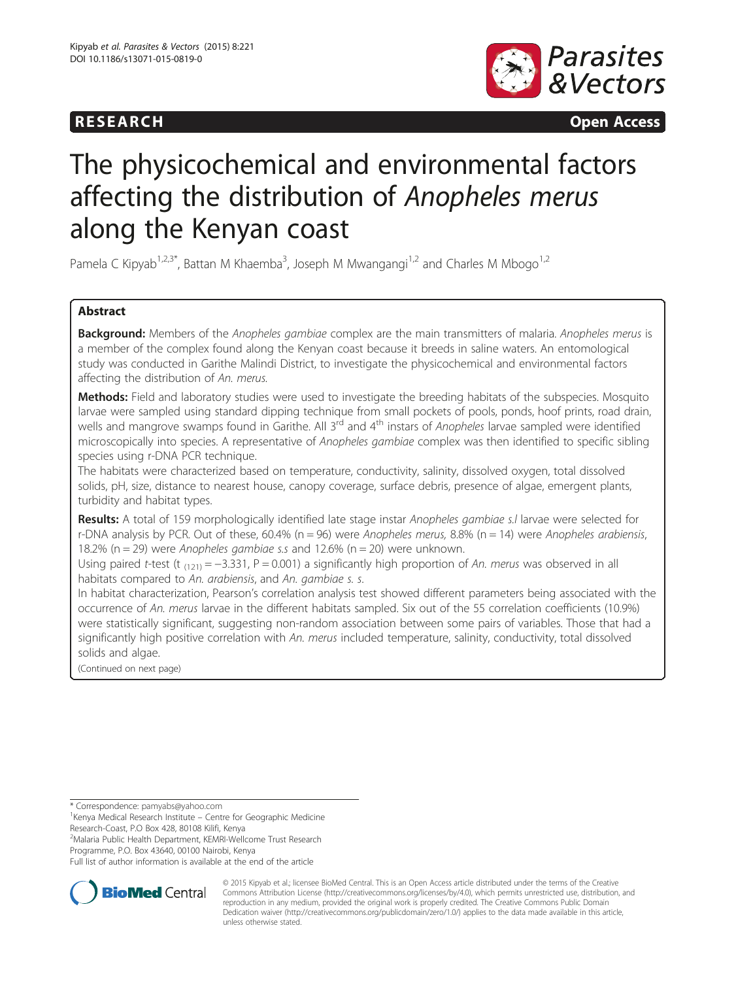## **RESEARCH CHINESEARCH CHINESEARCH CHINESE**



# The physicochemical and environmental factors affecting the distribution of Anopheles merus along the Kenyan coast

Pamela C Kipyab<sup>1,2,3\*</sup>, Battan M Khaemba<sup>3</sup>, Joseph M Mwangangi<sup>1,2</sup> and Charles M Mbogo<sup>1,2</sup>

### Abstract

Background: Members of the Anopheles gambiae complex are the main transmitters of malaria. Anopheles merus is a member of the complex found along the Kenyan coast because it breeds in saline waters. An entomological study was conducted in Garithe Malindi District, to investigate the physicochemical and environmental factors affecting the distribution of An. merus.

Methods: Field and laboratory studies were used to investigate the breeding habitats of the subspecies. Mosquito larvae were sampled using standard dipping technique from small pockets of pools, ponds, hoof prints, road drain, wells and mangrove swamps found in Garithe. All 3<sup>rd</sup> and 4<sup>th</sup> instars of Anopheles larvae sampled were identified microscopically into species. A representative of Anopheles gambiae complex was then identified to specific sibling species using r-DNA PCR technique.

The habitats were characterized based on temperature, conductivity, salinity, dissolved oxygen, total dissolved solids, pH, size, distance to nearest house, canopy coverage, surface debris, presence of algae, emergent plants, turbidity and habitat types.

Results: A total of 159 morphologically identified late stage instar Anopheles gambiae s.I larvae were selected for r-DNA analysis by PCR. Out of these, 60.4% ( $n = 96$ ) were Anopheles merus, 8.8% ( $n = 14$ ) were Anopheles arabiensis, 18.2% ( $n = 29$ ) were Anopheles gambiae s.s and 12.6% ( $n = 20$ ) were unknown.

Using paired t-test (t  $_{(121)} = -3.331$ , P = 0.001) a significantly high proportion of An. merus was observed in all habitats compared to An. arabiensis, and An. gambiae s. s.

In habitat characterization, Pearson's correlation analysis test showed different parameters being associated with the occurrence of An. merus larvae in the different habitats sampled. Six out of the 55 correlation coefficients (10.9%) were statistically significant, suggesting non-random association between some pairs of variables. Those that had a significantly high positive correlation with An. merus included temperature, salinity, conductivity, total dissolved solids and algae.

(Continued on next page)

<sup>1</sup> Kenya Medical Research Institute – Centre for Geographic Medicine Research-Coast, P.O Box 428, 80108 Kilifi, Kenya

2 Malaria Public Health Department, KEMRI-Wellcome Trust Research

Programme, P.O. Box 43640, 00100 Nairobi, Kenya

Full list of author information is available at the end of the article



© 2015 Kipyab et al.; licensee BioMed Central. This is an Open Access article distributed under the terms of the Creative Commons Attribution License [\(http://creativecommons.org/licenses/by/4.0\)](http://creativecommons.org/licenses/by/4.0), which permits unrestricted use, distribution, and reproduction in any medium, provided the original work is properly credited. The Creative Commons Public Domain Dedication waiver [\(http://creativecommons.org/publicdomain/zero/1.0/](http://creativecommons.org/publicdomain/zero/1.0/)) applies to the data made available in this article, unless otherwise stated.

<sup>\*</sup> Correspondence: [pamyabs@yahoo.com](mailto:pamyabs@yahoo.com) <sup>1</sup>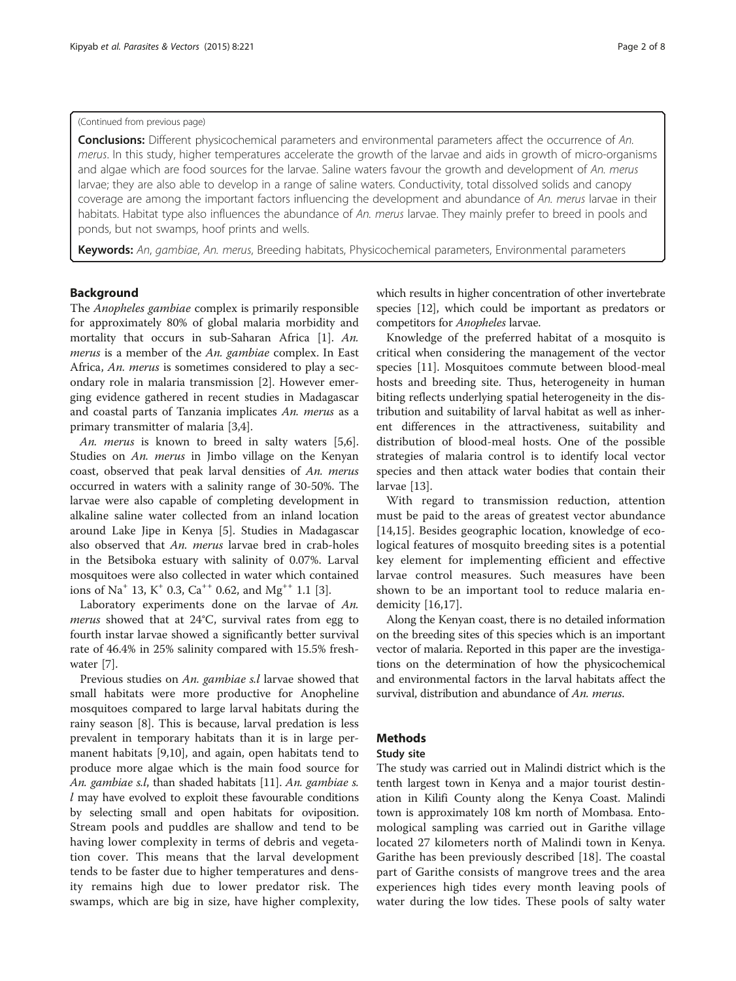#### (Continued from previous page)

**Conclusions:** Different physicochemical parameters and environmental parameters affect the occurrence of An. merus. In this study, higher temperatures accelerate the growth of the larvae and aids in growth of micro-organisms and algae which are food sources for the larvae. Saline waters favour the growth and development of An. merus larvae; they are also able to develop in a range of saline waters. Conductivity, total dissolved solids and canopy coverage are among the important factors influencing the development and abundance of An. merus larvae in their habitats. Habitat type also influences the abundance of An. merus larvae. They mainly prefer to breed in pools and ponds, but not swamps, hoof prints and wells.

Keywords: An, gambiae, An. merus, Breeding habitats, Physicochemical parameters, Environmental parameters

#### Background

The Anopheles gambiae complex is primarily responsible for approximately 80% of global malaria morbidity and mortality that occurs in sub-Saharan Africa [\[1\]](#page-6-0). An. merus is a member of the An. gambiae complex. In East Africa, An. merus is sometimes considered to play a secondary role in malaria transmission [\[2](#page-6-0)]. However emerging evidence gathered in recent studies in Madagascar and coastal parts of Tanzania implicates An. merus as a primary transmitter of malaria [\[3](#page-6-0),[4](#page-6-0)].

An. merus is known to breed in salty waters [\[5,6](#page-6-0)]. Studies on An. merus in Jimbo village on the Kenyan coast, observed that peak larval densities of An. merus occurred in waters with a salinity range of 30-50%. The larvae were also capable of completing development in alkaline saline water collected from an inland location around Lake Jipe in Kenya [\[5](#page-6-0)]. Studies in Madagascar also observed that An. merus larvae bred in crab-holes in the Betsiboka estuary with salinity of 0.07%. Larval mosquitoes were also collected in water which contained ions of Na<sup>+</sup> 13, K<sup>+</sup> 0.3, Ca<sup>++</sup> 0.62, and Mg<sup>++</sup> 1.1 [\[3\]](#page-6-0).

Laboratory experiments done on the larvae of An. merus showed that at 24°C, survival rates from egg to fourth instar larvae showed a significantly better survival rate of 46.4% in 25% salinity compared with 15.5% freshwater [\[7](#page-6-0)].

Previous studies on An. gambiae s.l larvae showed that small habitats were more productive for Anopheline mosquitoes compared to large larval habitats during the rainy season [\[8](#page-6-0)]. This is because, larval predation is less prevalent in temporary habitats than it is in large permanent habitats [[9,10\]](#page-6-0), and again, open habitats tend to produce more algae which is the main food source for An. gambiae s.l, than shaded habitats [\[11\]](#page-6-0). An. gambiae s. l may have evolved to exploit these favourable conditions by selecting small and open habitats for oviposition. Stream pools and puddles are shallow and tend to be having lower complexity in terms of debris and vegetation cover. This means that the larval development tends to be faster due to higher temperatures and density remains high due to lower predator risk. The swamps, which are big in size, have higher complexity, which results in higher concentration of other invertebrate species [\[12](#page-7-0)], which could be important as predators or competitors for Anopheles larvae.

Knowledge of the preferred habitat of a mosquito is critical when considering the management of the vector species [[11](#page-6-0)]. Mosquitoes commute between blood-meal hosts and breeding site. Thus, heterogeneity in human biting reflects underlying spatial heterogeneity in the distribution and suitability of larval habitat as well as inherent differences in the attractiveness, suitability and distribution of blood-meal hosts. One of the possible strategies of malaria control is to identify local vector species and then attack water bodies that contain their larvae [\[13\]](#page-7-0).

With regard to transmission reduction, attention must be paid to the areas of greatest vector abundance [[14,15](#page-7-0)]. Besides geographic location, knowledge of ecological features of mosquito breeding sites is a potential key element for implementing efficient and effective larvae control measures. Such measures have been shown to be an important tool to reduce malaria endemicity [[16,17\]](#page-7-0).

Along the Kenyan coast, there is no detailed information on the breeding sites of this species which is an important vector of malaria. Reported in this paper are the investigations on the determination of how the physicochemical and environmental factors in the larval habitats affect the survival, distribution and abundance of An. merus.

#### Methods

#### Study site

The study was carried out in Malindi district which is the tenth largest town in Kenya and a major tourist destination in Kilifi County along the Kenya Coast. Malindi town is approximately 108 km north of Mombasa. Entomological sampling was carried out in Garithe village located 27 kilometers north of Malindi town in Kenya. Garithe has been previously described [[18\]](#page-7-0). The coastal part of Garithe consists of mangrove trees and the area experiences high tides every month leaving pools of water during the low tides. These pools of salty water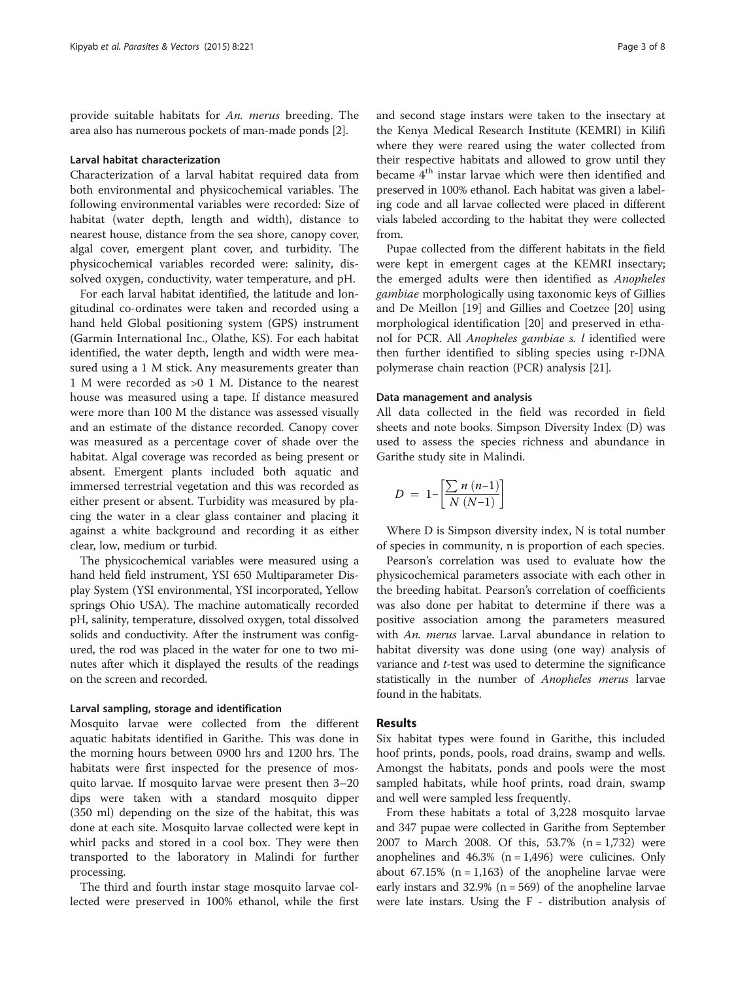provide suitable habitats for An. merus breeding. The area also has numerous pockets of man-made ponds [\[2\]](#page-6-0).

#### Larval habitat characterization

Characterization of a larval habitat required data from both environmental and physicochemical variables. The following environmental variables were recorded: Size of habitat (water depth, length and width), distance to nearest house, distance from the sea shore, canopy cover, algal cover, emergent plant cover, and turbidity. The physicochemical variables recorded were: salinity, dissolved oxygen, conductivity, water temperature, and pH.

For each larval habitat identified, the latitude and longitudinal co-ordinates were taken and recorded using a hand held Global positioning system (GPS) instrument (Garmin International Inc., Olathe, KS). For each habitat identified, the water depth, length and width were measured using a 1 M stick. Any measurements greater than 1 M were recorded as >0 1 M. Distance to the nearest house was measured using a tape. If distance measured were more than 100 M the distance was assessed visually and an estimate of the distance recorded. Canopy cover was measured as a percentage cover of shade over the habitat. Algal coverage was recorded as being present or absent. Emergent plants included both aquatic and immersed terrestrial vegetation and this was recorded as either present or absent. Turbidity was measured by placing the water in a clear glass container and placing it against a white background and recording it as either clear, low, medium or turbid.

The physicochemical variables were measured using a hand held field instrument, YSI 650 Multiparameter Display System (YSI environmental, YSI incorporated, Yellow springs Ohio USA). The machine automatically recorded pH, salinity, temperature, dissolved oxygen, total dissolved solids and conductivity. After the instrument was configured, the rod was placed in the water for one to two minutes after which it displayed the results of the readings on the screen and recorded.

#### Larval sampling, storage and identification

Mosquito larvae were collected from the different aquatic habitats identified in Garithe. This was done in the morning hours between 0900 hrs and 1200 hrs. The habitats were first inspected for the presence of mosquito larvae. If mosquito larvae were present then 3–20 dips were taken with a standard mosquito dipper (350 ml) depending on the size of the habitat, this was done at each site. Mosquito larvae collected were kept in whirl packs and stored in a cool box. They were then transported to the laboratory in Malindi for further processing.

The third and fourth instar stage mosquito larvae collected were preserved in 100% ethanol, while the first

and second stage instars were taken to the insectary at the Kenya Medical Research Institute (KEMRI) in Kilifi where they were reared using the water collected from their respective habitats and allowed to grow until they became 4<sup>th</sup> instar larvae which were then identified and preserved in 100% ethanol. Each habitat was given a labeling code and all larvae collected were placed in different vials labeled according to the habitat they were collected from.

Pupae collected from the different habitats in the field were kept in emergent cages at the KEMRI insectary; the emerged adults were then identified as Anopheles gambiae morphologically using taxonomic keys of Gillies and De Meillon [\[19](#page-7-0)] and Gillies and Coetzee [\[20\]](#page-7-0) using morphological identification [[20\]](#page-7-0) and preserved in ethanol for PCR. All Anopheles gambiae s. l identified were then further identified to sibling species using r-DNA polymerase chain reaction (PCR) analysis [\[21\]](#page-7-0).

#### Data management and analysis

All data collected in the field was recorded in field sheets and note books. Simpson Diversity Index (D) was used to assess the species richness and abundance in Garithe study site in Malindi.

$$
D = 1 - \left[ \frac{\sum n (n-1)}{N (N-1)} \right]
$$

Where D is Simpson diversity index, N is total number of species in community, n is proportion of each species.

Pearson's correlation was used to evaluate how the physicochemical parameters associate with each other in the breeding habitat. Pearson's correlation of coefficients was also done per habitat to determine if there was a positive association among the parameters measured with An. merus larvae. Larval abundance in relation to habitat diversity was done using (one way) analysis of variance and *t*-test was used to determine the significance statistically in the number of Anopheles merus larvae found in the habitats.

#### Results

Six habitat types were found in Garithe, this included hoof prints, ponds, pools, road drains, swamp and wells. Amongst the habitats, ponds and pools were the most sampled habitats, while hoof prints, road drain, swamp and well were sampled less frequently.

From these habitats a total of 3,228 mosquito larvae and 347 pupae were collected in Garithe from September 2007 to March 2008. Of this, 53.7% (n = 1,732) were anophelines and  $46.3\%$  (n = 1,496) were culicines. Only about 67.15%  $(n = 1,163)$  of the anopheline larvae were early instars and 32.9% ( $n = 569$ ) of the anopheline larvae were late instars. Using the F - distribution analysis of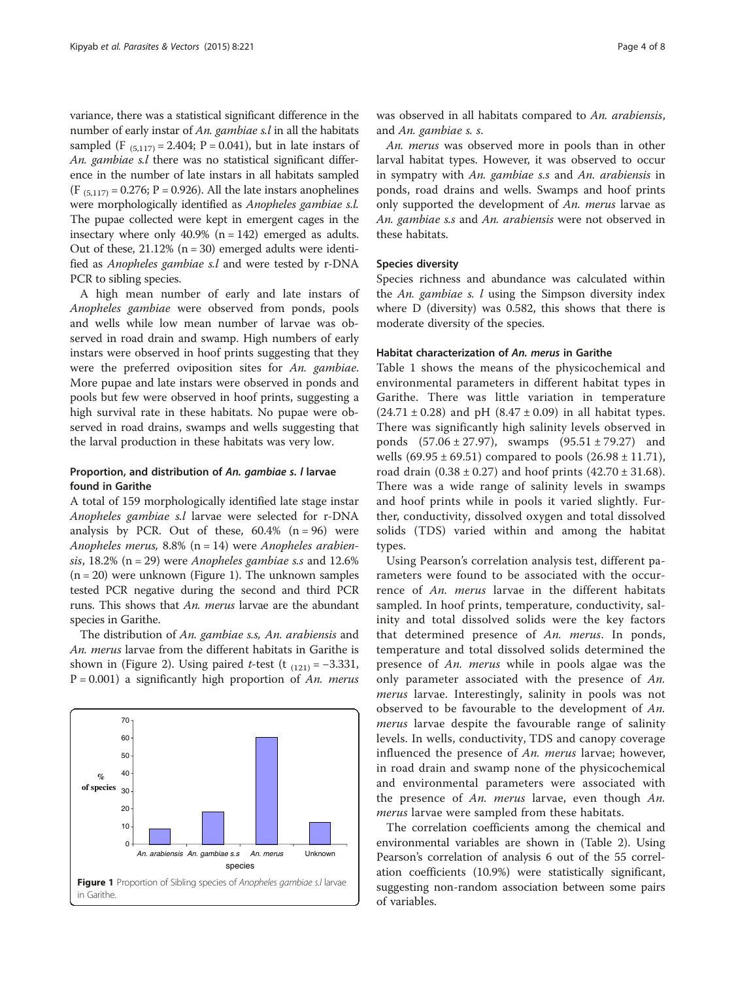variance, there was a statistical significant difference in the number of early instar of An. gambiae s.l in all the habitats sampled (F  $_{(5,117)} = 2.404$ ; P = 0.041), but in late instars of An. gambiae s.l there was no statistical significant difference in the number of late instars in all habitats sampled  $(F_{(5,117)} = 0.276; P = 0.926)$ . All the late instars anophelines were morphologically identified as Anopheles gambiae s.l. The pupae collected were kept in emergent cages in the insectary where only 40.9%  $(n = 142)$  emerged as adults. Out of these,  $21.12\%$  (n = 30) emerged adults were identified as Anopheles gambiae s.l and were tested by r-DNA PCR to sibling species.

A high mean number of early and late instars of Anopheles gambiae were observed from ponds, pools and wells while low mean number of larvae was observed in road drain and swamp. High numbers of early instars were observed in hoof prints suggesting that they were the preferred oviposition sites for An. gambiae. More pupae and late instars were observed in ponds and pools but few were observed in hoof prints, suggesting a high survival rate in these habitats. No pupae were observed in road drains, swamps and wells suggesting that the larval production in these habitats was very low.

#### Proportion, and distribution of An. gambiae s. I larvae found in Garithe

A total of 159 morphologically identified late stage instar Anopheles gambiae s.l larvae were selected for r-DNA analysis by PCR. Out of these,  $60.4\%$  (n = 96) were Anopheles merus,  $8.8\%$  (n = 14) were Anopheles arabiensis,  $18.2\%$  (n = 29) were *Anopheles gambiae s.s* and  $12.6\%$  $(n = 20)$  were unknown (Figure 1). The unknown samples tested PCR negative during the second and third PCR runs. This shows that An. merus larvae are the abundant species in Garithe.

The distribution of An. gambiae s.s, An. arabiensis and An. merus larvae from the different habitats in Garithe is shown in (Figure [2\)](#page-4-0). Using paired *t*-test (t  $_{(121)} = -3.331$ ,  $P = 0.001$ ) a significantly high proportion of An. merus



was observed in all habitats compared to An. arabiensis, and An. gambiae s. s.

An. merus was observed more in pools than in other larval habitat types. However, it was observed to occur in sympatry with An. gambiae s.s and An. arabiensis in ponds, road drains and wells. Swamps and hoof prints only supported the development of An. merus larvae as An. gambiae s.s and An. arabiensis were not observed in these habitats.

#### Species diversity

Species richness and abundance was calculated within the An. gambiae s.  $l$  using the Simpson diversity index where D (diversity) was 0.582, this shows that there is moderate diversity of the species.

#### Habitat characterization of An. merus in Garithe

Table [1](#page-5-0) shows the means of the physicochemical and environmental parameters in different habitat types in Garithe. There was little variation in temperature  $(24.71 \pm 0.28)$  and pH  $(8.47 \pm 0.09)$  in all habitat types. There was significantly high salinity levels observed in ponds  $(57.06 \pm 27.97)$ , swamps  $(95.51 \pm 79.27)$  and wells  $(69.95 \pm 69.51)$  compared to pools  $(26.98 \pm 11.71)$ , road drain  $(0.38 \pm 0.27)$  and hoof prints  $(42.70 \pm 31.68)$ . There was a wide range of salinity levels in swamps and hoof prints while in pools it varied slightly. Further, conductivity, dissolved oxygen and total dissolved solids (TDS) varied within and among the habitat types.

Using Pearson's correlation analysis test, different parameters were found to be associated with the occurrence of An. merus larvae in the different habitats sampled. In hoof prints, temperature, conductivity, salinity and total dissolved solids were the key factors that determined presence of An. merus. In ponds, temperature and total dissolved solids determined the presence of An. merus while in pools algae was the only parameter associated with the presence of An. merus larvae. Interestingly, salinity in pools was not observed to be favourable to the development of An. merus larvae despite the favourable range of salinity levels. In wells, conductivity, TDS and canopy coverage influenced the presence of An. merus larvae; however, in road drain and swamp none of the physicochemical and environmental parameters were associated with the presence of An. merus larvae, even though An. merus larvae were sampled from these habitats.

The correlation coefficients among the chemical and environmental variables are shown in (Table [2\)](#page-6-0). Using Pearson's correlation of analysis 6 out of the 55 correlation coefficients (10.9%) were statistically significant, suggesting non-random association between some pairs of variables.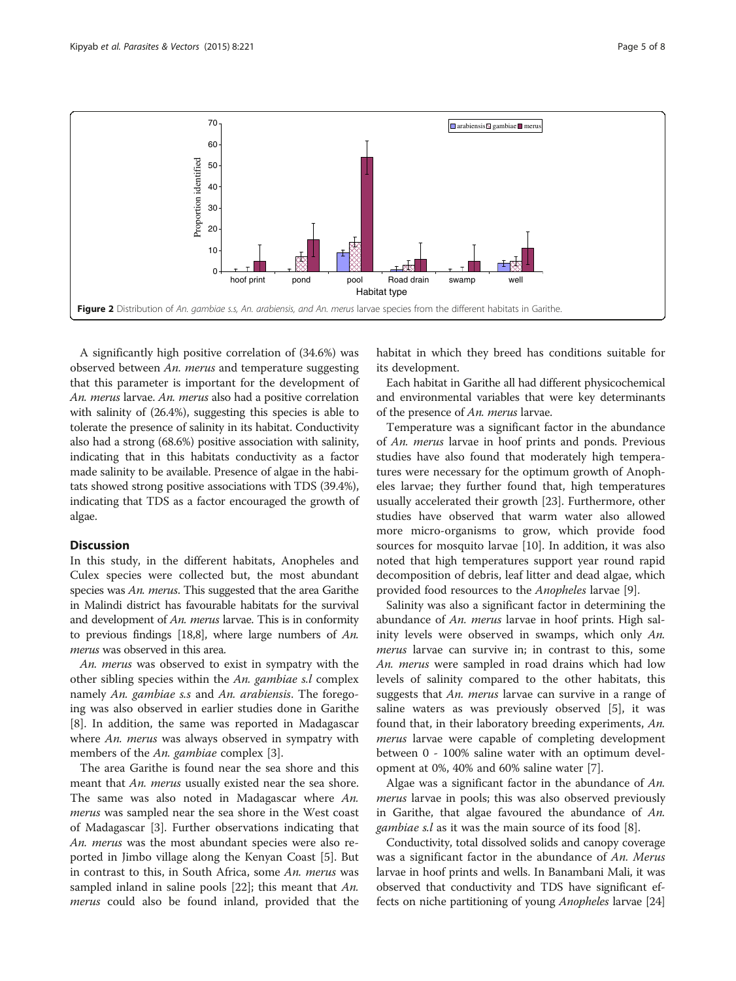<span id="page-4-0"></span>

A significantly high positive correlation of (34.6%) was observed between An. merus and temperature suggesting that this parameter is important for the development of An. merus larvae. An. merus also had a positive correlation with salinity of (26.4%), suggesting this species is able to tolerate the presence of salinity in its habitat. Conductivity also had a strong (68.6%) positive association with salinity, indicating that in this habitats conductivity as a factor made salinity to be available. Presence of algae in the habitats showed strong positive associations with TDS (39.4%), indicating that TDS as a factor encouraged the growth of algae.

#### **Discussion**

In this study, in the different habitats, Anopheles and Culex species were collected but, the most abundant species was An. merus. This suggested that the area Garithe in Malindi district has favourable habitats for the survival and development of An. merus larvae. This is in conformity to previous findings [[18](#page-7-0)[,8\]](#page-6-0), where large numbers of An. merus was observed in this area.

An. merus was observed to exist in sympatry with the other sibling species within the An. gambiae s.l complex namely An. gambiae s.s and An. arabiensis. The foregoing was also observed in earlier studies done in Garithe [[8\]](#page-6-0). In addition, the same was reported in Madagascar where *An. merus* was always observed in sympatry with members of the An. gambiae complex [\[3](#page-6-0)].

The area Garithe is found near the sea shore and this meant that *An. merus* usually existed near the sea shore. The same was also noted in Madagascar where An. merus was sampled near the sea shore in the West coast of Madagascar [[3\]](#page-6-0). Further observations indicating that An. merus was the most abundant species were also reported in Jimbo village along the Kenyan Coast [\[5](#page-6-0)]. But in contrast to this, in South Africa, some An. merus was sampled inland in saline pools  $[22]$  $[22]$ ; this meant that An. merus could also be found inland, provided that the

habitat in which they breed has conditions suitable for its development.

Each habitat in Garithe all had different physicochemical and environmental variables that were key determinants of the presence of An. merus larvae.

Temperature was a significant factor in the abundance of An. merus larvae in hoof prints and ponds. Previous studies have also found that moderately high temperatures were necessary for the optimum growth of Anopheles larvae; they further found that, high temperatures usually accelerated their growth [[23](#page-7-0)]. Furthermore, other studies have observed that warm water also allowed more micro-organisms to grow, which provide food sources for mosquito larvae [[10\]](#page-6-0). In addition, it was also noted that high temperatures support year round rapid decomposition of debris, leaf litter and dead algae, which provided food resources to the Anopheles larvae [[9\]](#page-6-0).

Salinity was also a significant factor in determining the abundance of An. merus larvae in hoof prints. High salinity levels were observed in swamps, which only An. merus larvae can survive in; in contrast to this, some An. merus were sampled in road drains which had low levels of salinity compared to the other habitats, this suggests that An. merus larvae can survive in a range of saline waters as was previously observed [\[5](#page-6-0)], it was found that, in their laboratory breeding experiments, An. merus larvae were capable of completing development between 0 - 100% saline water with an optimum development at 0%, 40% and 60% saline water [\[7](#page-6-0)].

Algae was a significant factor in the abundance of An. merus larvae in pools; this was also observed previously in Garithe, that algae favoured the abundance of An. gambiae s.l as it was the main source of its food [\[8](#page-6-0)].

Conductivity, total dissolved solids and canopy coverage was a significant factor in the abundance of An. Merus larvae in hoof prints and wells. In Banambani Mali, it was observed that conductivity and TDS have significant effects on niche partitioning of young Anopheles larvae [[24](#page-7-0)]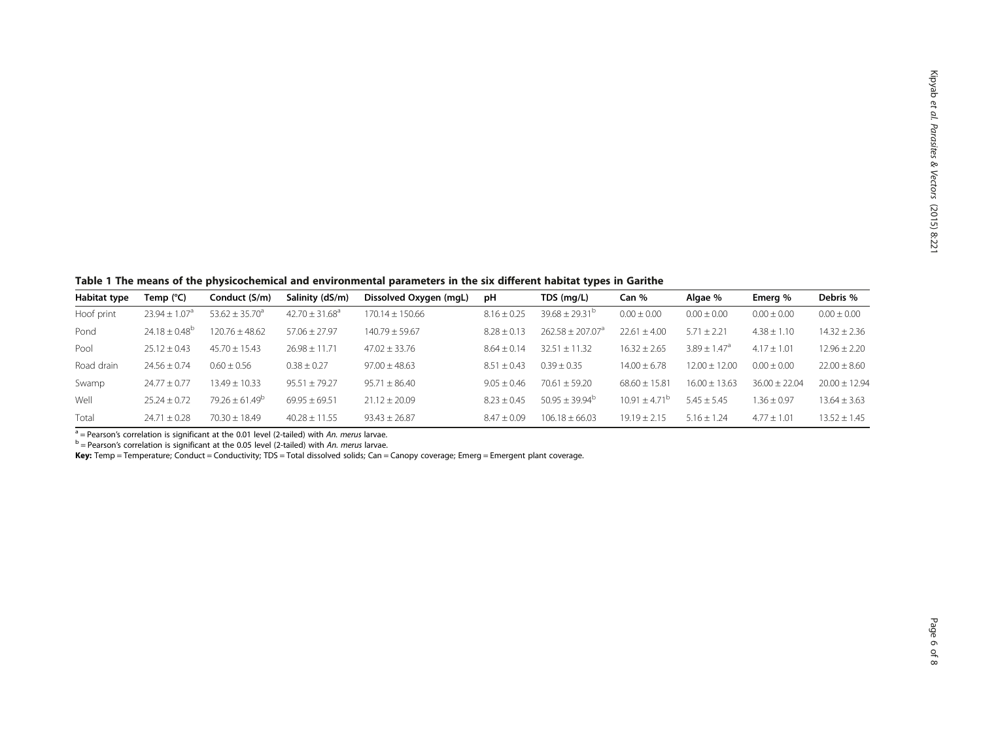<span id="page-5-0"></span>Table 1 The means of the physicochemical and environmental parameters in the six different habitat types in Garithe

| Habitat type | Temp (°C)                     | Conduct (S/m)       | Salinity (dS/m)                | Dissolved Oxygen (mgL) | рH              | TDS (mg/L)                | Can %                    | Algae %                      | Emera %           | Debris %          |
|--------------|-------------------------------|---------------------|--------------------------------|------------------------|-----------------|---------------------------|--------------------------|------------------------------|-------------------|-------------------|
| Hoof print   | $23.94 \pm 1.07$ <sup>a</sup> | $53.62 \pm 35.70^a$ | $42.70 \pm 31.68$ <sup>a</sup> | $170.14 \pm 150.66$    | $8.16 \pm 0.25$ | $39.68 \pm 29.31^{\circ}$ | $0.00 \pm 0.00$          | $0.00 \pm 0.00$              | $0.00 \pm 0.00$   | $0.00 \pm 0.00$   |
| Pond         | $24.18 \pm 0.48^{\circ}$      | $120.76 \pm 48.62$  | $57.06 \pm 27.97$              | $140.79 + 59.67$       | $8.28 \pm 0.13$ | $262.58 + 207.07a$        | $22.61 \pm 4.00$         | $5.71 \pm 2.21$              | $4.38 \pm 1.10$   | $14.32 \pm 2.36$  |
| Pool         | $25.12 \pm 0.43$              | $45.70 \pm 15.43$   | $26.98 \pm 11.71$              | $47.02 \pm 33.76$      | $8.64 \pm 0.14$ | $32.51 \pm 11.32$         | $16.32 \pm 2.65$         | $3.89 \pm 1.47$ <sup>a</sup> | $4.17 \pm 1.01$   | $12.96 \pm 2.20$  |
| Road drain   | $24.56 \pm 0.74$              | $0.60 \pm 0.56$     | $0.38 \pm 0.27$                | $97.00 \pm 48.63$      | $8.51 \pm 0.43$ | $0.39 + 0.35$             | $14.00 \pm 6.78$         | $12.00 \pm 12.00$            | $0.00 \pm 0.00$   | $22.00 \pm 8.60$  |
| Swamp        | $24.77 + 0.77$                | $13.49 \pm 10.33$   | $95.51 \pm 79.27$              | $95.71 + 86.40$        | $9.05 + 0.46$   | $70.61 + 59.20$           | $68.60 + 15.81$          | $16.00 + 13.63$              | $36.00 \pm 22.04$ | $20.00 \pm 12.94$ |
| Well         | $25.24 + 0.72$                | $79.26 + 61.49^b$   | $69.95 \pm 69.51$              | $21.12 + 20.09$        | $8.23 + 0.45$   | $50.95 + 39.94^b$         | $10.91 \pm 4.71^{\circ}$ | $5.45 \pm 5.45$              | $1.36 \pm 0.97$   | $13.64 \pm 3.63$  |
| Total        | $24.71 \pm 0.28$              | $70.30 + 18.49$     | $40.28 \pm 11.55$              | $93.43 \pm 26.87$      | $8.47 \pm 0.09$ | $106.18 \pm 66.03$        | $19.19 \pm 2.15$         | $5.16 \pm 1.24$              | $4.77 \pm 1.01$   | $13.52 \pm 1.45$  |

 $^{\rm a}$  = Pearson's correlation is significant at the 0.01 level (2-tailed) with *An. merus* larvae.<br><sup>b</sup> = Pearson's correlation is significant at the 0.05 level (2-tailed) with *An. merus* larvae.

**Key:** Temp = Temperature; Conduct = Conductivity; TDS = Total dissolved solids; Can = Canopy coverage; Emerg = Emergent plant coverage.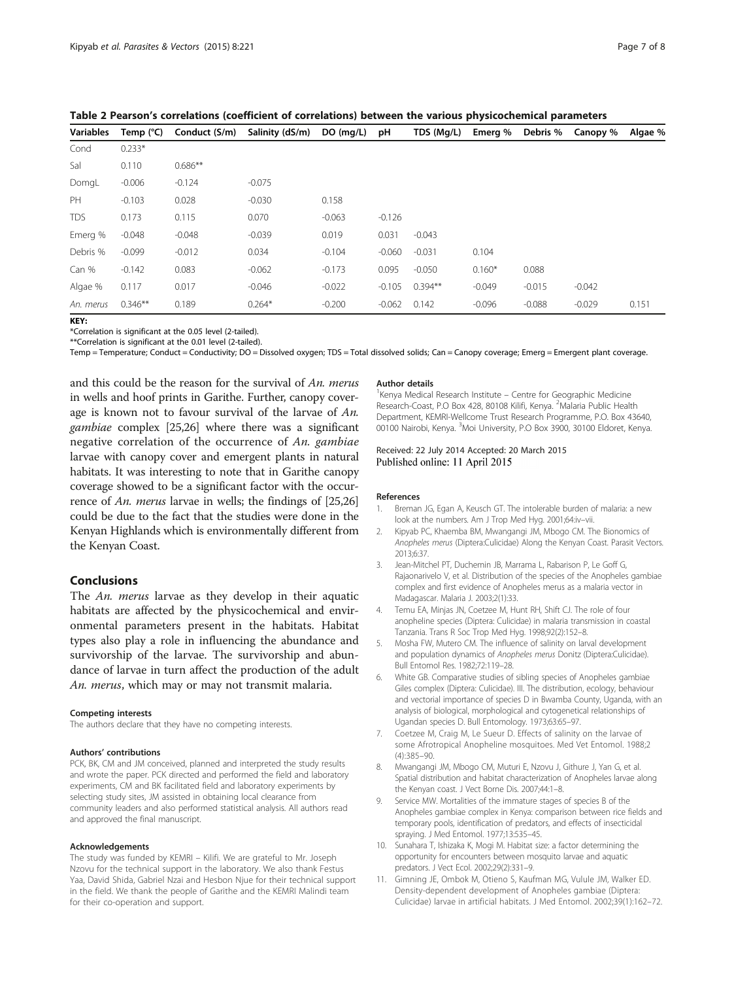| <b>Variables</b> | Temp $(^{\circ}C)$ | Conduct (S/m) | Salinity (dS/m) | DO (mq/L) | рH       | TDS (Mg/L) | Emerg %  | Debris % | Canopy % | Algae % |
|------------------|--------------------|---------------|-----------------|-----------|----------|------------|----------|----------|----------|---------|
| Cond             | $0.233*$           |               |                 |           |          |            |          |          |          |         |
| Sal              | 0.110              | $0.686**$     |                 |           |          |            |          |          |          |         |
| DomgL            | $-0.006$           | $-0.124$      | $-0.075$        |           |          |            |          |          |          |         |
| PH               | $-0.103$           | 0.028         | $-0.030$        | 0.158     |          |            |          |          |          |         |
| <b>TDS</b>       | 0.173              | 0.115         | 0.070           | $-0.063$  | $-0.126$ |            |          |          |          |         |
| Emerg %          | $-0.048$           | $-0.048$      | $-0.039$        | 0.019     | 0.031    | $-0.043$   |          |          |          |         |
| Debris %         | $-0.099$           | $-0.012$      | 0.034           | $-0.104$  | $-0.060$ | $-0.031$   | 0.104    |          |          |         |
| Can %            | $-0.142$           | 0.083         | $-0.062$        | $-0.173$  | 0.095    | $-0.050$   | $0.160*$ | 0.088    |          |         |
| Algae %          | 0.117              | 0.017         | $-0.046$        | $-0.022$  | $-0.105$ | $0.394**$  | $-0.049$ | $-0.015$ | $-0.042$ |         |
| An. merus        | $0.346**$          | 0.189         | $0.264*$        | $-0.200$  | $-0.062$ | 0.142      | $-0.096$ | $-0.088$ | $-0.029$ | 0.151   |

<span id="page-6-0"></span>Table 2 Pearson's correlations (coefficient of correlations) between the various physicochemical parameters

KEY:

\*Correlation is significant at the 0.05 level (2-tailed).

\*\*Correlation is significant at the 0.01 level (2-tailed).

Temp = Temperature; Conduct = Conductivity; DO = Dissolved oxygen; TDS = Total dissolved solids; Can = Canopy coverage; Emerg = Emergent plant coverage.

and this could be the reason for the survival of An. merus in wells and hoof prints in Garithe. Further, canopy coverage is known not to favour survival of the larvae of An. gambiae complex [\[25,26\]](#page-7-0) where there was a significant negative correlation of the occurrence of An. gambiae larvae with canopy cover and emergent plants in natural habitats. It was interesting to note that in Garithe canopy coverage showed to be a significant factor with the occurrence of An. merus larvae in wells; the findings of [\[25,26](#page-7-0)] could be due to the fact that the studies were done in the Kenyan Highlands which is environmentally different from the Kenyan Coast.

#### Conclusions

The An. merus larvae as they develop in their aquatic habitats are affected by the physicochemical and environmental parameters present in the habitats. Habitat types also play a role in influencing the abundance and survivorship of the larvae. The survivorship and abundance of larvae in turn affect the production of the adult An. merus, which may or may not transmit malaria.

#### Competing interests

The authors declare that they have no competing interests.

#### Authors' contributions

PCK, BK, CM and JM conceived, planned and interpreted the study results and wrote the paper. PCK directed and performed the field and laboratory experiments, CM and BK facilitated field and laboratory experiments by selecting study sites, JM assisted in obtaining local clearance from community leaders and also performed statistical analysis. All authors read and approved the final manuscript.

#### Acknowledgements

The study was funded by KEMRI – Kilifi. We are grateful to Mr. Joseph Nzovu for the technical support in the laboratory. We also thank Festus Yaa, David Shida, Gabriel Nzai and Hesbon Njue for their technical support in the field. We thank the people of Garithe and the KEMRI Malindi team for their co-operation and support.

#### Author details

<sup>1</sup> Kenya Medical Research Institute - Centre for Geographic Medicine Research-Coast, P.O Box 428, 80108 Kilifi, Kenya. <sup>2</sup>Malaria Public Health Department, KEMRI-Wellcome Trust Research Programme, P.O. Box 43640, 00100 Nairobi, Kenya. <sup>3</sup>Moi University, P.O Box 3900, 30100 Eldoret, Kenya.

#### Received: 22 July 2014 Accepted: 20 March 2015 Published online: 11 April 2015

#### References

- 1. Breman JG, Egan A, Keusch GT. The intolerable burden of malaria: a new look at the numbers. Am J Trop Med Hyg. 2001;64:iv–vii.
- 2. Kipyab PC, Khaemba BM, Mwangangi JM, Mbogo CM. The Bionomics of Anopheles merus (Diptera:Culicidae) Along the Kenyan Coast. Parasit Vectors. 2013;6:37.
- 3. Jean-Mitchel PT, Duchemin JB, Marrama L, Rabarison P, Le Goff G, Rajaonarivelo V, et al. Distribution of the species of the Anopheles gambiae complex and first evidence of Anopheles merus as a malaria vector in Madagascar. Malaria J. 2003;2(1):33.
- 4. Temu EA, Minjas JN, Coetzee M, Hunt RH, Shift CJ. The role of four anopheline species (Diptera: Culicidae) in malaria transmission in coastal Tanzania. Trans R Soc Trop Med Hyg. 1998;92(2):152–8.
- 5. Mosha FW, Mutero CM. The influence of salinity on larval development and population dynamics of Anopheles merus Donitz (Diptera:Culicidae). Bull Entomol Res. 1982;72:119–28.
- 6. White GB. Comparative studies of sibling species of Anopheles gambiae Giles complex (Diptera: Culicidae). III. The distribution, ecology, behaviour and vectorial importance of species D in Bwamba County, Uganda, with an analysis of biological, morphological and cytogenetical relationships of Ugandan species D. Bull Entomology. 1973;63:65–97.
- 7. Coetzee M, Craig M, Le Sueur D. Effects of salinity on the larvae of some Afrotropical Anopheline mosquitoes. Med Vet Entomol. 1988;2 (4):385–90.
- 8. Mwangangi JM, Mbogo CM, Muturi E, Nzovu J, Githure J, Yan G, et al. Spatial distribution and habitat characterization of Anopheles larvae along the Kenyan coast. J Vect Borne Dis. 2007;44:1–8.
- 9. Service MW. Mortalities of the immature stages of species B of the Anopheles gambiae complex in Kenya: comparison between rice fields and temporary pools, identification of predators, and effects of insecticidal spraying. J Med Entomol. 1977;13:535–45.
- 10. Sunahara T, Ishizaka K, Mogi M. Habitat size: a factor determining the opportunity for encounters between mosquito larvae and aquatic predators. J Vect Ecol. 2002;29(2):331–9.
- 11. Gimning JE, Ombok M, Otieno S, Kaufman MG, Vulule JM, Walker ED. Density-dependent development of Anopheles gambiae (Diptera: Culicidae) larvae in artificial habitats. J Med Entomol. 2002;39(1):162–72.